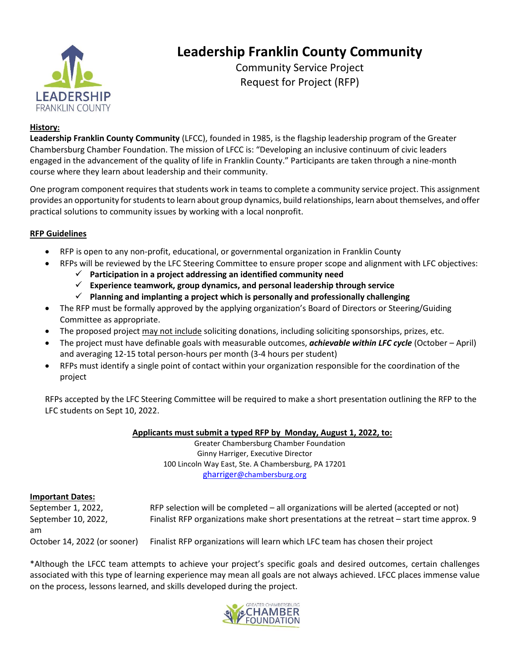

## **Leadership Franklin County Community**

Community Service Project Request for Project (RFP)

#### **History:**

**Leadership Franklin County Community** (LFCC), founded in 1985, is the flagship leadership program of the Greater Chambersburg Chamber Foundation. The mission of LFCC is: "Developing an inclusive continuum of civic leaders engaged in the advancement of the quality of life in Franklin County." Participants are taken through a nine-month course where they learn about leadership and their community.

One program component requires that students work in teams to complete a community service project. This assignment provides an opportunity for students to learn about group dynamics, build relationships, learn about themselves, and offer practical solutions to community issues by working with a local nonprofit.

#### **RFP Guidelines**

- RFP is open to any non-profit, educational, or governmental organization in Franklin County
- RFPs will be reviewed by the LFC Steering Committee to ensure proper scope and alignment with LFC objectives:
	- ✓ **Participation in a project addressing an identified community need**
	- ✓ **Experience teamwork, group dynamics, and personal leadership through service**
	- ✓ **Planning and implanting a project which is personally and professionally challenging**
- The RFP must be formally approved by the applying organization's Board of Directors or Steering/Guiding Committee as appropriate.
- The proposed project may not include soliciting donations, including soliciting sponsorships, prizes, etc.
- The project must have definable goals with measurable outcomes, *achievable within LFC cycle* (October April) and averaging 12-15 total person-hours per month (3-4 hours per student)
- RFPs must identify a single point of contact within your organization responsible for the coordination of the project

RFPs accepted by the LFC Steering Committee will be required to make a short presentation outlining the RFP to the LFC students on Sept 10, 2022.

#### **Applicants must submit a typed RFP by Monday, August 1, 2022, to:**

Greater Chambersburg Chamber Foundation Ginny Harriger, Executive Director 100 Lincoln Way East, Ste. A Chambersburg, PA 17201 [gharriger](mailto:gharriger@chambersburg.org)[@chambersburg.org](mailto:gharriger@chambersburg.org)

#### **Important Dates:**

| po.  = =                     |                                                                                           |
|------------------------------|-------------------------------------------------------------------------------------------|
| September 1, 2022,           | RFP selection will be completed $-$ all organizations will be alerted (accepted or not)   |
| September 10, 2022,          | Finalist RFP organizations make short presentations at the retreat – start time approx. 9 |
| am                           |                                                                                           |
| October 14, 2022 (or sooner) | Finalist RFP organizations will learn which LFC team has chosen their project             |

\*Although the LFCC team attempts to achieve your project's specific goals and desired outcomes, certain challenges associated with this type of learning experience may mean all goals are not always achieved. LFCC places immense value on the process, lessons learned, and skills developed during the project.